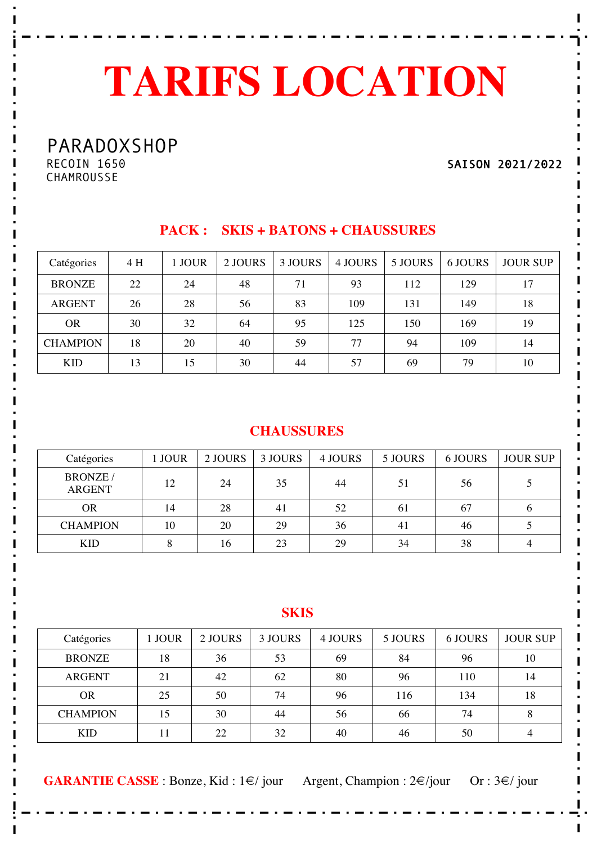# **TARIFS LOCATION**

PARADOXSHOP

RECOIN 1650 **CHAMROUSSE** 

SAISON 2021/2022

| Catégories      | 4 H | 1 JOUR | 2 JOURS | 3 JOURS | 4 JOURS | 5 JOURS | 6 JOURS | <b>JOUR SUP</b> |
|-----------------|-----|--------|---------|---------|---------|---------|---------|-----------------|
| <b>BRONZE</b>   | 22  | 24     | 48      | 71      | 93      | 112     | 129     | 17              |
| <b>ARGENT</b>   | 26  | 28     | 56      | 83      | 109     | 131     | 149     | 18              |
| <b>OR</b>       | 30  | 32     | 64      | 95      | 125     | 150     | 169     | 19              |
| <b>CHAMPION</b> | 18  | 20     | 40      | 59      | 77      | 94      | 109     | 14              |
| <b>KID</b>      | 13  | 15     | 30      | 44      | 57      | 69      | 79      | 10              |

#### **PACK : SKIS + BATONS + CHAUSSURES**

#### **CHAUSSURES**

| Catégories                       | l JOUR | 2 JOURS | 3 JOURS | 4 JOURS | 5 JOURS | 6 JOURS | <b>JOUR SUP</b> |
|----------------------------------|--------|---------|---------|---------|---------|---------|-----------------|
| <b>BRONZE</b> /<br><b>ARGENT</b> | 12     | 24      | 35      | 44      | 51      | 56      |                 |
| <b>OR</b>                        | 14     | 28      | 41      | 52      | 61      | 67      | O               |
| <b>CHAMPION</b>                  | 10     | 20      | 29      | 36      | 41      | 46      |                 |
| <b>KID</b>                       |        | 16      | 23      | 29      | 34      | 38      |                 |

#### **SKIS**

| Catégories      | <b>JOUR</b> | 2 JOURS | 3 JOURS | 4 JOURS | 5 JOURS | 6 JOURS | <b>JOUR SUP</b> |
|-----------------|-------------|---------|---------|---------|---------|---------|-----------------|
| <b>BRONZE</b>   | 18          | 36      | 53      | 69      | 84      | 96      | 10              |
| <b>ARGENT</b>   | 21          | 42      | 62      | 80      | 96      | 110     | 14              |
| <b>OR</b>       | 25          | 50      | 74      | 96      | 116     | 134     | 18              |
| <b>CHAMPION</b> | 15          | 30      | 44      | 56      | 66      | 74      | 8               |
| <b>KID</b>      |             | 22      | 32      | 40      | 46      | 50      | 4               |

**GARANTIE CASSE** : Bonze, Kid :  $1 \in \mathbb{Z}$  jour Argent, Champion :  $2 \in \mathbb{Z}$  jour Or :  $3 \in \mathbb{Z}$  jour